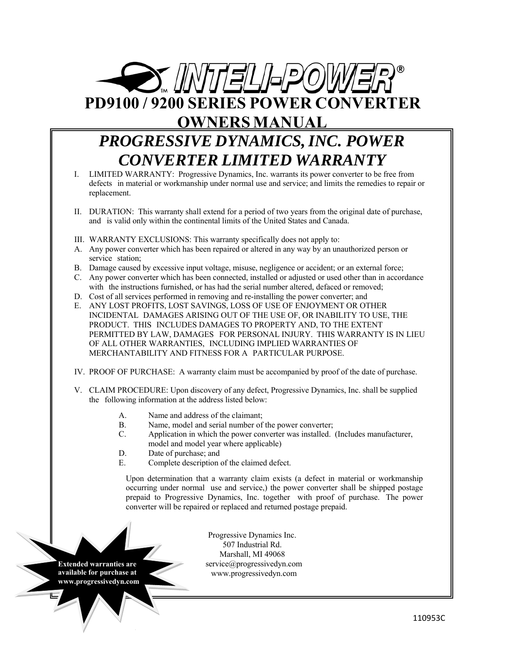

## **OWNERS MANUAL**

# *PROGRESSIVE DYNAMICS, INC. POWER CONVERTER LIMITED WARRANTY*

- I. LIMITED WARRANTY: Progressive Dynamics, Inc. warrants its power converter to be free from defects in material or workmanship under normal use and service; and limits the remedies to repair or replacement.
- II. DURATION: This warranty shall extend for a period of two years from the original date of purchase, and is valid only within the continental limits of the United States and Canada.
- III. WARRANTY EXCLUSIONS: This warranty specifically does not apply to:
- A. Any power converter which has been repaired or altered in any way by an unauthorized person or service station;
- B. Damage caused by excessive input voltage, misuse, negligence or accident; or an external force;
- C. Any power converter which has been connected, installed or adjusted or used other than in accordance with the instructions furnished, or has had the serial number altered, defaced or removed;
- D. Cost of all services performed in removing and re-installing the power converter; and
- E. ANY LOST PROFITS, LOST SAVINGS, LOSS OF USE OF ENJOYMENT OR OTHER INCIDENTAL DAMAGES ARISING OUT OF THE USE OF, OR INABILITY TO USE, THE PRODUCT. THIS INCLUDES DAMAGES TO PROPERTY AND, TO THE EXTENT PERMITTED BY LAW, DAMAGES FOR PERSONAL INJURY. THIS WARRANTY IS IN LIEU OF ALL OTHER WARRANTIES, INCLUDING IMPLIED WARRANTIES OF MERCHANTABILITY AND FITNESS FOR A PARTICULAR PURPOSE.
- IV. PROOF OF PURCHASE: A warranty claim must be accompanied by proof of the date of purchase.
- V. CLAIM PROCEDURE: Upon discovery of any defect, Progressive Dynamics, Inc. shall be supplied the following information at the address listed below:
	- A. Name and address of the claimant;
	- B. Name, model and serial number of the power converter;
	- C. Application in which the power converter was installed. (Includes manufacturer, model and model year where applicable)
	- D. Date of purchase; and
	- E. Complete description of the claimed defect.

Upon determination that a warranty claim exists (a defect in material or workmanship occurring under normal use and service,) the power converter shall be shipped postage prepaid to Progressive Dynamics, Inc. together with proof of purchase. The power converter will be repaired or replaced and returned postage prepaid.

**Extended warranties are available for purchase at www.progressivedyn.com** 

Progressive Dynamics Inc. 507 Industrial Rd. Marshall, MI 49068 service@progressivedyn.com www.progressivedyn.com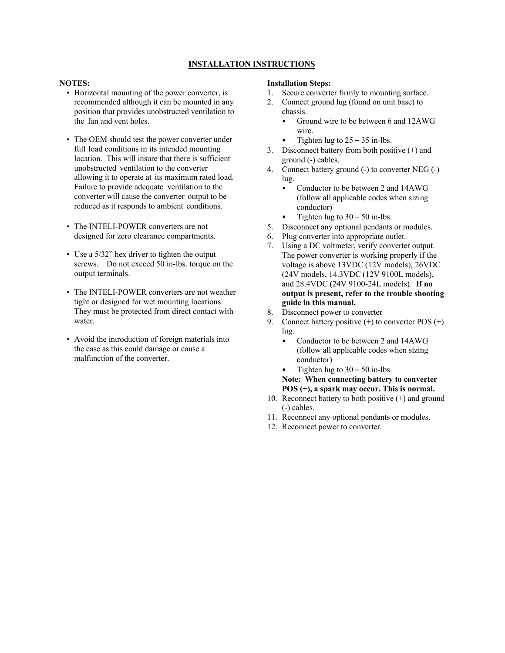## **INSTALLATION INSTRUCTIONS**

#### **NOTES:**

- Horizontal mounting of the power converter, is recommended although it can be mounted in any position that provides unobstructed ventilation to the fan and vent holes.
- The OEM should test the power converter under full load conditions in its intended mounting location. This will insure that there is sufficient unobstructed ventilation to the converter allowing it to operate at its maximum rated load. Failure to provide adequate ventilation to the converter will cause the converter output to be reduced as it responds to ambient conditions.
- The INTELI-POWER converters are not designed for zero clearance compartments.
- Use a 5/32" hex driver to tighten the output screws. Do not exceed 50 in-lbs. torque on the output terminals.
- The INTELI-POWER converters are not weather tight or designed for wet mounting locations. They must be protected from direct contact with water.
- Avoid the introduction of foreign materials into the case as this could damage or cause a malfunction of the converter.

#### **Installation Steps:**

- 1. Secure converter firmly to mounting surface.
- 2. Connect ground lug (found on unit base) to chassis.
	- Ground wire to be between 6 and 12AWG wire.
	- Tighten lug to  $25 35$  in-lbs.
- 3. Disconnect battery from both positive  $(+)$  and ground (-) cables.
- 4. Connect battery ground (-) to converter NEG (-) lug.
	- Conductor to be between 2 and 14AWG (follow all applicable codes when sizing conductor)
	- Tighten lug to  $30 50$  in-lbs.
- 5. Disconnect any optional pendants or modules.
- 6. Plug converter into appropriate outlet.
- 7. Using a DC voltmeter, verify converter output. The power converter is working properly if the voltage is above 13VDC (12V models), 26VDC (24V models, 14.3VDC (12V 9100L models), and 28.4VDC (24V 9100-24L models). **If no output is present, refer to the trouble shooting guide in this manual.**
- 8. Disconnect power to converter
- 9. Connect battery positive  $(+)$  to converter POS  $(+)$ lug.
	- Conductor to be between 2 and 14AWG (follow all applicable codes when sizing conductor)
		- Tighten lug to  $30 50$  in-lbs.
	- **Note: When connecting battery to converter POS (+), a spark may occur. This is normal.**
- 10. Reconnect battery to both positive (+) and ground (-) cables.
- 11. Reconnect any optional pendants or modules.
- 12. Reconnect power to converter.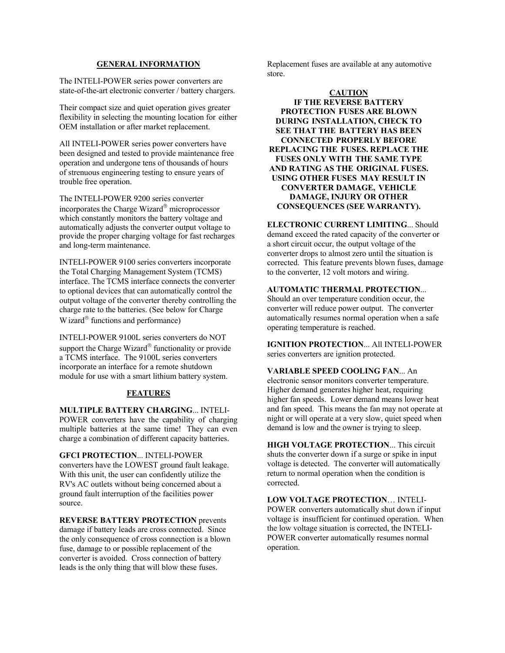## **GENERAL INFORMATION**

The INTELI-POWER series power converters are state-of-the-art electronic converter / battery chargers.

Their compact size and quiet operation gives greater flexibility in selecting the mounting location for either OEM installation or after market replacement.

All INTELI-POWER series power converters have been designed and tested to provide maintenance free operation and undergone tens of thousands of hours of strenuous engineering testing to ensure years of trouble free operation.

The INTELI-POWER 9200 series converter incorporates the Charge Wizard $^{\circ}$  microprocessor which constantly monitors the battery voltage and automatically adjusts the converter output voltage to provide the proper charging voltage for fast recharges and long-term maintenance.

INTELI-POWER 9100 series converters incorporate the Total Charging Management System (TCMS) interface. The TCMS interface connects the converter to optional devices that can automatically control the output voltage of the converter thereby controlling the charge rate to the batteries. (See below for Charge W izard $^{\circ}$  functions and performance)

INTELI-POWER 9100L series converters do NOT support the Charge Wizard® functionality or provide a TCMS interface. The 9100L series converters incorporate an interface for a remote shutdown module for use with a smart lithium battery system.

## **FEATURES**

**MULTIPLE BATTERY CHARGING**... INTELI-POWER converters have the capability of charging multiple batteries at the same time! They can even charge a combination of different capacity batteries.

**GFCI PROTECTION**... INTELI-POWER converters have the LOWEST ground fault leakage. With this unit, the user can confidently utilize the RV's AC outlets without being concerned about a ground fault interruption of the facilities power source.

**REVERSE BATTERY PROTECTION** prevents damage if battery leads are cross connected. Since the only consequence of cross connection is a blown fuse, damage to or possible replacement of the converter is avoided. Cross connection of battery leads is the only thing that will blow these fuses.

Replacement fuses are available at any automotive store.

## **CAUTION**

**IF THE REVERSE BATTERY PROTECTION FUSES ARE BLOWN DURING INSTALLATION, CHECK TO SEE THAT THE BATTERY HAS BEEN CONNECTED PROPERLY BEFORE REPLACING THE FUSES. REPLACE THE FUSES ONLY WITH THE SAME TYPE AND RATING AS THE ORIGINAL FUSES. USING OTHER FUSES MAY RESULT IN CONVERTER DAMAGE, VEHICLE DAMAGE, INJURY OR OTHER CONSEQUENCES (SEE WARRANTY).**

**ELECTRONIC CURRENT LIMITING**... Should demand exceed the rated capacity of the converter or a short circuit occur, the output voltage of the converter drops to almost zero until the situation is corrected. This feature prevents blown fuses, damage to the converter, 12 volt motors and wiring.

#### **AUTOMATIC THERMAL PROTECTION**...

Should an over temperature condition occur, the converter will reduce power output. The converter automatically resumes normal operation when a safe operating temperature is reached.

**IGNITION PROTECTION**... All INTELI-POWER series converters are ignition protected.

**VARIABLE SPEED COOLING FAN**... An electronic sensor monitors converter temperature. Higher demand generates higher heat, requiring higher fan speeds. Lower demand means lower heat and fan speed. This means the fan may not operate at night or will operate at a very slow, quiet speed when demand is low and the owner is trying to sleep.

**HIGH VOLTAGE PROTECTION**... This circuit shuts the converter down if a surge or spike in input voltage is detected. The converter will automatically return to normal operation when the condition is corrected.

**LOW VOLTAGE PROTECTION**… INTELI-POWER converters automatically shut down if input voltage is insufficient for continued operation. When the low voltage situation is corrected, the INTELI-POWER converter automatically resumes normal operation.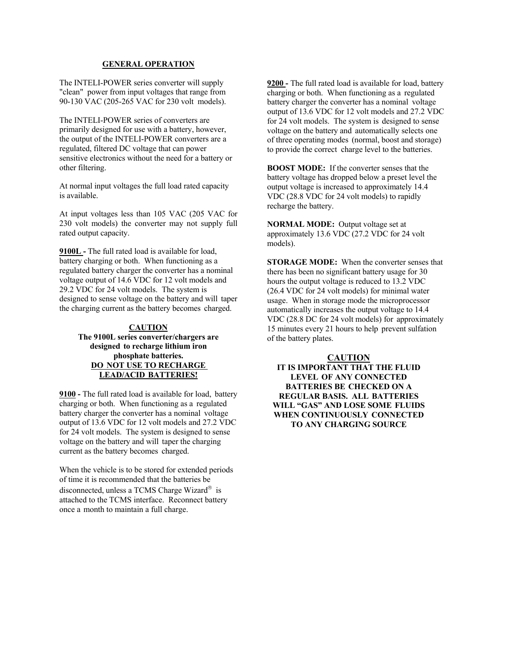#### **GENERAL OPERATION**

The INTELI-POWER series converter will supply "clean" power from input voltages that range from 90-130 VAC (205-265 VAC for 230 volt models).

The INTELI-POWER series of converters are primarily designed for use with a battery, however, the output of the INTELI-POWER converters are a regulated, filtered DC voltage that can power sensitive electronics without the need for a battery or other filtering.

At normal input voltages the full load rated capacity is available.

At input voltages less than 105 VAC (205 VAC for 230 volt models) the converter may not supply full rated output capacity.

**9100L -** The full rated load is available for load, battery charging or both. When functioning as a regulated battery charger the converter has a nominal voltage output of 14.6 VDC for 12 volt models and 29.2 VDC for 24 volt models. The system is designed to sense voltage on the battery and will taper the charging current as the battery becomes charged.

## **CAUTION The 9100L series converter/chargers are designed to recharge lithium iron phosphate batteries. DO NOT USE TO RECHARGE LEAD/ACID BATTERIES!**

**9100 -** The full rated load is available for load, battery charging or both. When functioning as a regulated battery charger the converter has a nominal voltage output of 13.6 VDC for 12 volt models and 27.2 VDC for 24 volt models. The system is designed to sense voltage on the battery and will taper the charging current as the battery becomes charged.

When the vehicle is to be stored for extended periods of time it is recommended that the batteries be disconnected, unless a TCMS Charge Wizard $^{\circ}$  is attached to the TCMS interface. Reconnect battery once a month to maintain a full charge.

**9200 -** The full rated load is available for load, battery charging or both. When functioning as a regulated battery charger the converter has a nominal voltage output of 13.6 VDC for 12 volt models and 27.2 VDC for 24 volt models. The system is designed to sense voltage on the battery and automatically selects one of three operating modes (normal, boost and storage) to provide the correct charge level to the batteries.

**BOOST MODE:** If the converter senses that the battery voltage has dropped below a preset level the output voltage is increased to approximately 14.4 VDC (28.8 VDC for 24 volt models) to rapidly recharge the battery.

**NORMAL MODE:** Output voltage set at approximately 13.6 VDC (27.2 VDC for 24 volt models).

**STORAGE MODE:** When the converter senses that there has been no significant battery usage for 30 hours the output voltage is reduced to 13.2 VDC (26.4 VDC for 24 volt models) for minimal water usage. When in storage mode the microprocessor automatically increases the output voltage to 14.4 VDC (28.8 DC for 24 volt models) for approximately 15 minutes every 21 hours to help prevent sulfation of the battery plates.

## **CAUTION**

**IT IS IMPORTANT THAT THE FLUID LEVEL OF ANY CONNECTED BATTERIES BE CHECKED ON A REGULAR BASIS. ALL BATTERIES WILL "GAS" AND LOSE SOME FLUIDS WHEN CONTINUOUSLY CONNECTED TO ANY CHARGING SOURCE**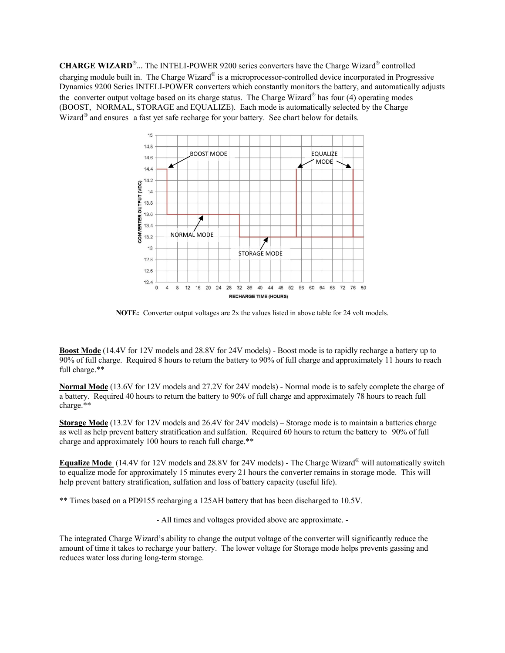**CHARGE WIZARD<sup>®</sup>**... The INTELI-POWER 9200 series converters have the Charge Wizard<sup>®</sup> controlled charging module built in. The Charge Wizard® is a microprocessor-controlled device incorporated in Progressive Dynamics 9200 Series INTELI-POWER converters which constantly monitors the battery, and automatically adjusts the converter output voltage based on its charge status. The Charge Wizard<sup>®</sup> has four (4) operating modes (BOOST, NORMAL, STORAGE and EQUALIZE). Each mode is automatically selected by the Charge Wizard $^{\circ}$  and ensures a fast yet safe recharge for your battery. See chart below for details.



**NOTE:** Converter output voltages are 2x the values listed in above table for 24 volt models.

**Boost Mode** (14.4V for 12V models and 28.8V for 24V models) - Boost mode is to rapidly recharge a battery up to 90% of full charge. Required 8 hours to return the battery to 90% of full charge and approximately 11 hours to reach full charge.\*\*

**Normal Mode** (13.6V for 12V models and 27.2V for 24V models) - Normal mode is to safely complete the charge of a battery. Required 40 hours to return the battery to 90% of full charge and approximately 78 hours to reach full charge.\*\*

**Storage Mode** (13.2V for 12V models and 26.4V for 24V models) – Storage mode is to maintain a batteries charge as well as help prevent battery stratification and sulfation. Required 60 hours to return the battery to 90% of full charge and approximately 100 hours to reach full charge.\*\*

**Equalize Mode** (14.4V for 12V models and 28.8V for 24V models) - The Charge Wizard® will automatically switch to equalize mode for approximately 15 minutes every 21 hours the converter remains in storage mode. This will help prevent battery stratification, sulfation and loss of battery capacity (useful life).

\*\* Times based on a PD9155 recharging a 125AH battery that has been discharged to 10.5V.

- All times and voltages provided above are approximate. -

The integrated Charge Wizard's ability to change the output voltage of the converter will significantly reduce the amount of time it takes to recharge your battery. The lower voltage for Storage mode helps prevents gassing and reduces water loss during long-term storage.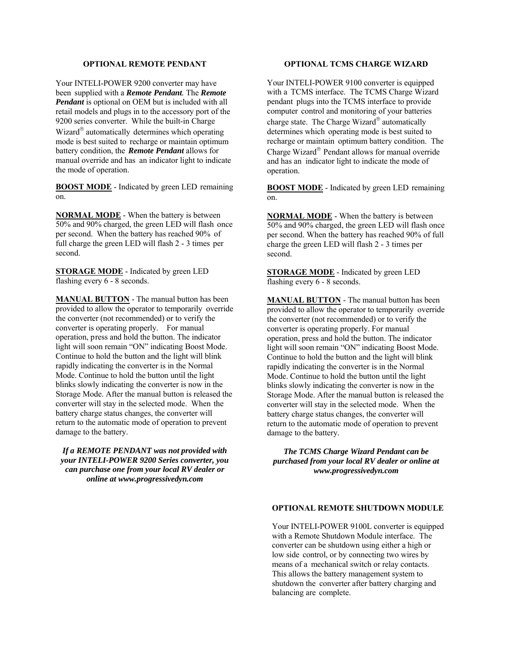## **OPTIONAL REMOTE PENDANT**

Your INTELI-POWER 9200 converter may have been supplied with a *Remote Pendant.* The *Remote Pendant* is optional on OEM but is included with all retail models and plugs in to the accessory port of the 9200 series converter. While the built-in Charge Wizard $^{\circledR}$  automatically determines which operating mode is best suited to recharge or maintain optimum battery condition, the *Remote Pendant* allows for manual override and has an indicator light to indicate the mode of operation.

**BOOST MODE** - Indicated by green LED remaining on.

**NORMAL MODE** - When the battery is between 50% and 90% charged, the green LED will flash once per second. When the battery has reached 90% of full charge the green LED will flash 2 - 3 times per second.

**STORAGE MODE** - Indicated by green LED flashing every  $6 - 8$  seconds.

**MANUAL BUTTON** - The manual button has been provided to allow the operator to temporarily override the converter (not recommended) or to verify the converter is operating properly. For manual operation, press and hold the button. The indicator light will soon remain "ON" indicating Boost Mode. Continue to hold the button and the light will blink rapidly indicating the converter is in the Normal Mode. Continue to hold the button until the light blinks slowly indicating the converter is now in the Storage Mode. After the manual button is released the converter will stay in the selected mode. When the battery charge status changes, the converter will return to the automatic mode of operation to prevent damage to the battery.

*If a REMOTE PENDANT was not provided with your INTELI-POWER 9200 Series converter, you can purchase one from your local RV dealer or online at www.progressivedyn.com*

## **OPTIONAL TCMS CHARGE WIZARD**

Your INTELI-POWER 9100 converter is equipped with a TCMS interface. The TCMS Charge Wizard pendant plugs into the TCMS interface to provide computer control and monitoring of your batteries charge state. The Charge Wizard® automatically determines which operating mode is best suited to recharge or maintain optimum battery condition. The Charge Wizard® Pendant allows for manual override and has an indicator light to indicate the mode of operation.

**BOOST MODE** - Indicated by green LED remaining on.

**NORMAL MODE** - When the battery is between 50% and 90% charged, the green LED will flash once per second. When the battery has reached 90% of full charge the green LED will flash 2 - 3 times per second.

**STORAGE MODE** - Indicated by green LED flashing every 6 - 8 seconds.

**MANUAL BUTTON** - The manual button has been provided to allow the operator to temporarily override the converter (not recommended) or to verify the converter is operating properly. For manual operation, press and hold the button. The indicator light will soon remain "ON" indicating Boost Mode. Continue to hold the button and the light will blink rapidly indicating the converter is in the Normal Mode. Continue to hold the button until the light blinks slowly indicating the converter is now in the Storage Mode. After the manual button is released the converter will stay in the selected mode. When the battery charge status changes, the converter will return to the automatic mode of operation to prevent damage to the battery.

*The TCMS Charge Wizard Pendant can be purchased from your local RV dealer or online at www.progressivedyn.com*

## **OPTIONAL REMOTE SHUTDOWN MODULE**

Your INTELI-POWER 9100L converter is equipped with a Remote Shutdown Module interface. The converter can be shutdown using either a high or low side control, or by connecting two wires by means of a mechanical switch or relay contacts. This allows the battery management system to shutdown the converter after battery charging and balancing are complete.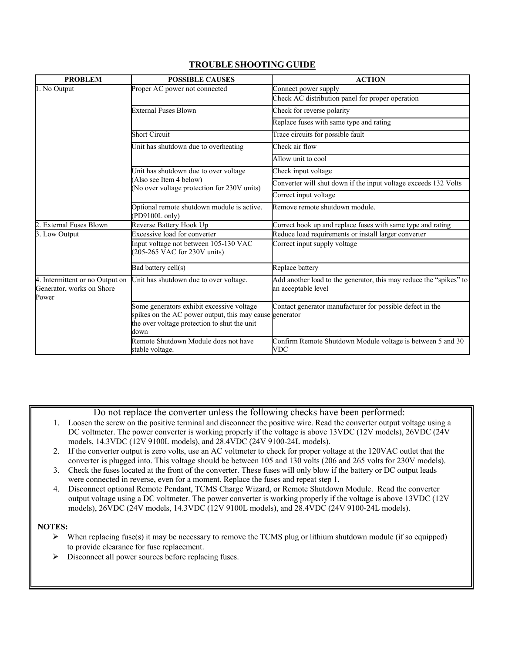## **TROUBLE SHOOTING GUIDE**

| <b>PROBLEM</b>                                                        | <b>POSSIBLE CAUSES</b>                                                                                                                                       | <b>ACTION</b>                                                                             |
|-----------------------------------------------------------------------|--------------------------------------------------------------------------------------------------------------------------------------------------------------|-------------------------------------------------------------------------------------------|
| 1. No Output                                                          | Proper AC power not connected                                                                                                                                | Connect power supply                                                                      |
|                                                                       |                                                                                                                                                              | Check AC distribution panel for proper operation                                          |
|                                                                       | <b>External Fuses Blown</b>                                                                                                                                  | Check for reverse polarity                                                                |
|                                                                       |                                                                                                                                                              | Replace fuses with same type and rating                                                   |
|                                                                       | <b>Short Circuit</b>                                                                                                                                         | Trace circuits for possible fault                                                         |
|                                                                       | Unit has shutdown due to overheating                                                                                                                         | Check air flow                                                                            |
|                                                                       |                                                                                                                                                              | Allow unit to cool                                                                        |
|                                                                       | Unit has shutdown due to over voltage<br>Also see Item 4 below)<br>No over voltage protection for 230V units)                                                | Check input voltage                                                                       |
|                                                                       |                                                                                                                                                              | Converter will shut down if the input voltage exceeds 132 Volts                           |
|                                                                       |                                                                                                                                                              | Correct input voltage                                                                     |
|                                                                       | Optional remote shutdown module is active.<br>PD9100L only)                                                                                                  | Remove remote shutdown module.                                                            |
| <b>External Fuses Blown</b>                                           | Reverse Battery Hook Up                                                                                                                                      | Correct hook up and replace fuses with same type and rating                               |
| 3. Low Output                                                         | Excessive load for converter                                                                                                                                 | Reduce load requirements or install larger converter                                      |
|                                                                       | Input voltage not between 105-130 VAC<br>(205-265 VAC for 230V units)                                                                                        | Correct input supply voltage                                                              |
|                                                                       | Bad battery cell(s)                                                                                                                                          | Replace battery                                                                           |
| 4. Intermittent or no Output on<br>Generator, works on Shore<br>Power | Unit has shutdown due to over voltage.                                                                                                                       | Add another load to the generator, this may reduce the "spikes" to<br>an acceptable level |
|                                                                       | Some generators exhibit excessive voltage<br>spikes on the AC power output, this may cause generator<br>the over voltage protection to shut the unit<br>down | Contact generator manufacturer for possible defect in the                                 |
|                                                                       | Remote Shutdown Module does not have<br>stable voltage.                                                                                                      | Confirm Remote Shutdown Module voltage is between 5 and 30<br>VDC                         |

Do not replace the converter unless the following checks have been performed:

- 1. Loosen the screw on the positive terminal and disconnect the positive wire. Read the converter output voltage using a DC voltmeter. The power converter is working properly if the voltage is above 13VDC (12V models), 26VDC (24V models, 14.3VDC (12V 9100L models), and 28.4VDC (24V 9100-24L models).
- 2. If the converter output is zero volts, use an AC voltmeter to check for proper voltage at the 120VAC outlet that the converter is plugged into. This voltage should be between 105 and 130 volts (206 and 265 volts for 230V models).
- 3. Check the fuses located at the front of the converter. These fuses will only blow if the battery or DC output leads were connected in reverse, even for a moment. Replace the fuses and repeat step 1.
- 4. Disconnect optional Remote Pendant, TCMS Charge Wizard, or Remote Shutdown Module. Read the converter output voltage using a DC voltmeter. The power converter is working properly if the voltage is above 13VDC (12V models), 26VDC (24V models, 14.3VDC (12V 9100L models), and 28.4VDC (24V 9100-24L models).

## **NOTES:**

- $\triangleright$  When replacing fuse(s) it may be necessary to remove the TCMS plug or lithium shutdown module (if so equipped) to provide clearance for fuse replacement.
- Disconnect all power sources before replacing fuses.